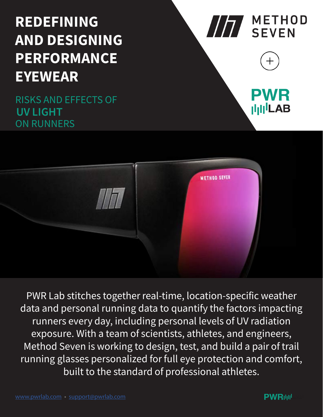# REDEFINING AND DESIGNING PERFORMANCE EYEWEAR

ON RUNNERS RISKS AND EFFECTS OF UV LIGHT





PWR Lab stitches together real-time, location-specific weather data and personal running data to quantify the factors impacting runners every day, including personal levels of UV radiation exposure. With a team of scientists, athletes, and engineers, Method Seven is working to design, test, and build a pair of trail running glasses personalized for full eye protection and comfort, built to the standard of professional athletes.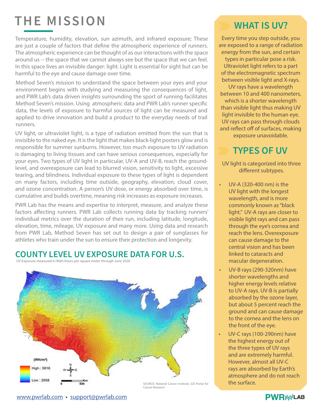# THE MISSION

Temperature, humidity, elevation, sun azimuth, and infrared exposure; These are just a couple of factors that define the atmospheric experience of runners. The atmospheric experience can be thought of as our interactions with the space around us -- the space that we cannot always see but the space that we can feel. In this space lives an invisible danger: light. Light is essential for sight but can be harmful to the eye and cause damage over time.

Method Seven's mission to understand the space between your eyes and your environment begins with studying and measuring the consequences of light, and PWR Lab's data driven insights surrounding the sport of running facilitates Method Seven's mission. Using atmospheric data and PWR Lab's runner specific data, the levels of exposure to harmful sources of light can be measured and applied to drive innovation and build a product to the everyday needs of trail runners.

UV light, or ultraviolet light, is a type of radiation emitted from the sun that is invisible to the naked eye. It is the light that makes black-light posters glow and is responsible for summer sunburns. However, too much exposure to UV radiation is damaging to living tissues and can have serious consequences, especially for your eyes. Two types of UV light in particular, UV-A and UV-B, reach the groundlevel, and overexposure can lead to blurred vision, sensitivity to light, excessive tearing, and blindness. Individual exposure to these types of light is dependent on many factors, including time outside, geography, elevation, cloud cover, and ozone concentration. A person's UV dose, or energy absorbed over time, is cumulative and builds overtime, meaning risk increases as exposure increases.

PWR Lab has the means and expertise to interpret, measure, and analyze these factors affecting runners. PWR Lab collects running data by tracking runners' individual metrics over the duration of their run, including latitude, longitude, elevation, time, mileage, UV exposure and many more. Using data and research from PWR Lab, Method Seven has set out to design a pair of sunglasses for athletes who train under the sun to ensure their protection and longevity.

#### COUNTY LEVEL UV EXPOSURE DATA FOR U.S.

UV Exposure measured in Watt-hours per square meter through June 2020



### **WHAT IS UV?**

Every time you step outside, you are exposed to a range of radiation energy from the sun, and certain types in particular pose a risk. Ultraviolet light refers to a part of the electromagnetic spectrum between visible light and X-rays. UV rays have a wavelength between 10 and 400 nanometers, which is a shorter wavelength than visible light thus making UV light invisible to the human eye. UV rays can pass through clouds and reflect off of surfaces, making exposure unavoidable.

#### TYPES OF UV :::::<br>::::::<br>::::::

UV light is categorized into three different subtypes.

- UV-A (320-400 nm) is the UV light with the longest wavelength, and is more commonly known as "black light." UV-A rays are closer to visible light rays and can pass through the eye's cornea and reach the lens. Overexposure can cause damage to the central vision and has been linked to cataracts and macular degeneration.
- UV-B rays (290-320nm) have shorter wavelengths and higher energy levels relative to UV-A rays. UV-B is partially absorbed by the ozone layer, but about 5 percent reach the ground and can cause damage to the cornea and the lens on the front of the eye.
- UV-C rays (100-290nm) have the highest energy out of the three types of UV rays and are extremely harmful. However, almost all UV-C rays are absorbed by Earth's atmosphere and do not reach

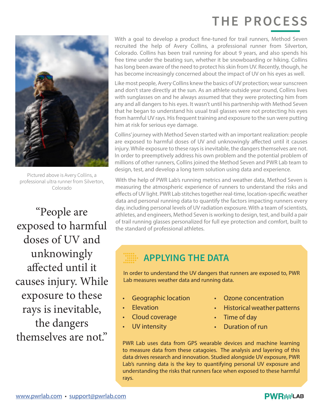## THE PROCESS



Pictured above is Avery Collins, a professional ultra runner from Silverton, Colorado

"People are exposed to harmful doses of UV and unknowingly affected until it causes injury. While exposure to these rays is inevitable, the dangers themselves are not."

With a goal to develop a product fine-tuned for trail runners, Method Seven recruited the help of Avery Collins, a professional runner from Silverton, Colorado. Collins has been trail running for about 9 years, and also spends his free time under the beating sun, whether it be snowboarding or hiking. Collins has long been aware of the need to protect his skin from UV. Recently, though, he has become increasingly concerned about the impact of UV on his eyes as well.

Like most people, Avery Collins knew the basics of UV protection; wear sunscreen and don't stare directly at the sun. As an athlete outside year round, Collins lives with sunglasses on and he always assumed that they were protecting him from any and all dangers to his eyes. It wasn't until his partnership with Method Seven that he began to understand his usual trail glasses were not protecting his eyes from harmful UV rays. His frequent training and exposure to the sun were putting him at risk for serious eye damage.

Collins' journey with Method Seven started with an important realization: people are exposed to harmful doses of UV and unknowingly affected until it causes injury. While exposure to these rays is inevitable, the dangers themselves are not. In order to preemptively address his own problem and the potential problem of millions of other runners, Collins joined the Method Seven and PWR Lab team to design, test, and develop a long term solution using data and experience.

With the help of PWR Lab's running metrics and weather data, Method Seven is measuring the atmospheric experience of runners to understand the risks and effects of UV light. PWR Lab stitches together real-time, location-specific weather data and personal running data to quantify the factors impacting runners every day, including personal levels of UV radiation exposure. With a team of scientists, athletes, and engineers, Method Seven is working to design, test, and build a pair of trail running glasses personalized for full eye protection and comfort, built to the standard of professional athletes.

### APPLYING THE DATA

In order to understand the UV dangers that runners are exposed to, PWR Lab measures weather data and running data.

- Geographic location
- **Elevation**
- Cloud coverage
- UV intensity
- Ozone concentration
- Historical weather patterns
- Time of day
- Duration of run

PWR Lab uses data from GPS wearable devices and machine learning to measure data from these catagoies. The analysis and layering of this data drives research and innovation. Studied alongside UV exposure, PWR Lab's running data is the key to quantifying personal UV exposure and understanding the risks that runners face when exposed to these harmful rays.